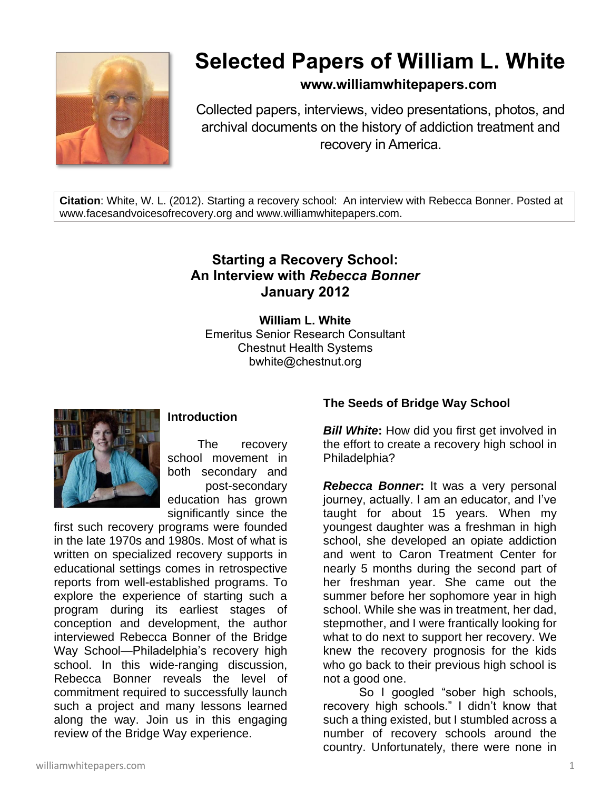

# **Selected Papers of William L. White**

### **www.williamwhitepapers.com**

Collected papers, interviews, video presentations, photos, and archival documents on the history of addiction treatment and recovery in America.

**Citation**: White, W. L. (2012). Starting a recovery school: An interview with Rebecca Bonner. Posted at www.facesandvoicesofrecovery.org and www.williamwhitepapers.com.

## **Starting a Recovery School: An Interview with** *Rebecca Bonner* **January 2012**

**William L. White** Emeritus Senior Research Consultant Chestnut Health Systems bwhite@chestnut.org



#### **Introduction**

The recovery school movement in both secondary and post-secondary education has grown significantly since the

first such recovery programs were founded in the late 1970s and 1980s. Most of what is written on specialized recovery supports in educational settings comes in retrospective reports from well-established programs. To explore the experience of starting such a program during its earliest stages of conception and development, the author interviewed Rebecca Bonner of the Bridge Way School—Philadelphia's recovery high school. In this wide-ranging discussion, Rebecca Bonner reveals the level of commitment required to successfully launch such a project and many lessons learned along the way. Join us in this engaging review of the Bridge Way experience.

#### **The Seeds of Bridge Way School**

**Bill White:** How did you first get involved in the effort to create a recovery high school in Philadelphia?

*Rebecca Bonner***:** It was a very personal journey, actually. I am an educator, and I've taught for about 15 years. When my youngest daughter was a freshman in high school, she developed an opiate addiction and went to Caron Treatment Center for nearly 5 months during the second part of her freshman year. She came out the summer before her sophomore year in high school. While she was in treatment, her dad, stepmother, and I were frantically looking for what to do next to support her recovery. We knew the recovery prognosis for the kids who go back to their previous high school is not a good one.

So I googled "sober high schools, recovery high schools." I didn't know that such a thing existed, but I stumbled across a number of recovery schools around the country. Unfortunately, there were none in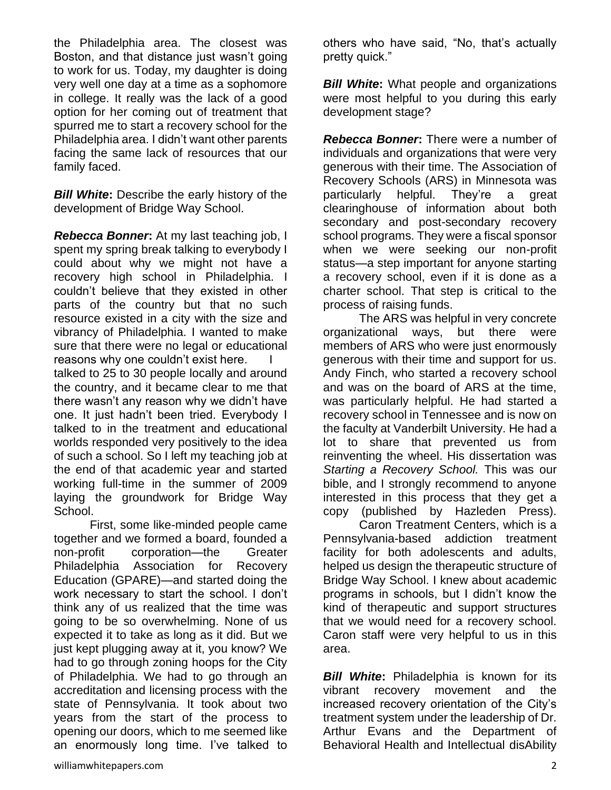the Philadelphia area. The closest was Boston, and that distance just wasn't going to work for us. Today, my daughter is doing very well one day at a time as a sophomore in college. It really was the lack of a good option for her coming out of treatment that spurred me to start a recovery school for the Philadelphia area. I didn't want other parents facing the same lack of resources that our family faced.

*Bill White***:** Describe the early history of the development of Bridge Way School.

*Rebecca Bonner***:** At my last teaching job, I spent my spring break talking to everybody I could about why we might not have a recovery high school in Philadelphia. I couldn't believe that they existed in other parts of the country but that no such resource existed in a city with the size and vibrancy of Philadelphia. I wanted to make sure that there were no legal or educational reasons why one couldn't exist here. I talked to 25 to 30 people locally and around the country, and it became clear to me that there wasn't any reason why we didn't have one. It just hadn't been tried. Everybody I talked to in the treatment and educational worlds responded very positively to the idea of such a school. So I left my teaching job at the end of that academic year and started working full-time in the summer of 2009 laying the groundwork for Bridge Way School.

First, some like-minded people came together and we formed a board, founded a non-profit corporation—the Greater Philadelphia Association for Recovery Education (GPARE)—and started doing the work necessary to start the school. I don't think any of us realized that the time was going to be so overwhelming. None of us expected it to take as long as it did. But we just kept plugging away at it, you know? We had to go through zoning hoops for the City of Philadelphia. We had to go through an accreditation and licensing process with the state of Pennsylvania. It took about two years from the start of the process to opening our doors, which to me seemed like an enormously long time. I've talked to

others who have said, "No, that's actually pretty quick."

*Bill White:* What people and organizations were most helpful to you during this early development stage?

**Rebecca Bonner:** There were a number of individuals and organizations that were very generous with their time. The Association of Recovery Schools (ARS) in Minnesota was particularly helpful. They're a great clearinghouse of information about both secondary and post-secondary recovery school programs. They were a fiscal sponsor when we were seeking our non-profit status—a step important for anyone starting a recovery school, even if it is done as a charter school. That step is critical to the process of raising funds.

The ARS was helpful in very concrete organizational ways, but there were members of ARS who were just enormously generous with their time and support for us. Andy Finch, who started a recovery school and was on the board of ARS at the time, was particularly helpful. He had started a recovery school in Tennessee and is now on the faculty at Vanderbilt University. He had a lot to share that prevented us from reinventing the wheel. His dissertation was *Starting a Recovery School.* This was our bible, and I strongly recommend to anyone interested in this process that they get a copy (published by Hazleden Press).

Caron Treatment Centers, which is a Pennsylvania-based addiction treatment facility for both adolescents and adults, helped us design the therapeutic structure of Bridge Way School. I knew about academic programs in schools, but I didn't know the kind of therapeutic and support structures that we would need for a recovery school. Caron staff were very helpful to us in this area.

*Bill White***:** Philadelphia is known for its vibrant recovery movement and the increased recovery orientation of the City's treatment system under the leadership of Dr. Arthur Evans and the Department of Behavioral Health and Intellectual disAbility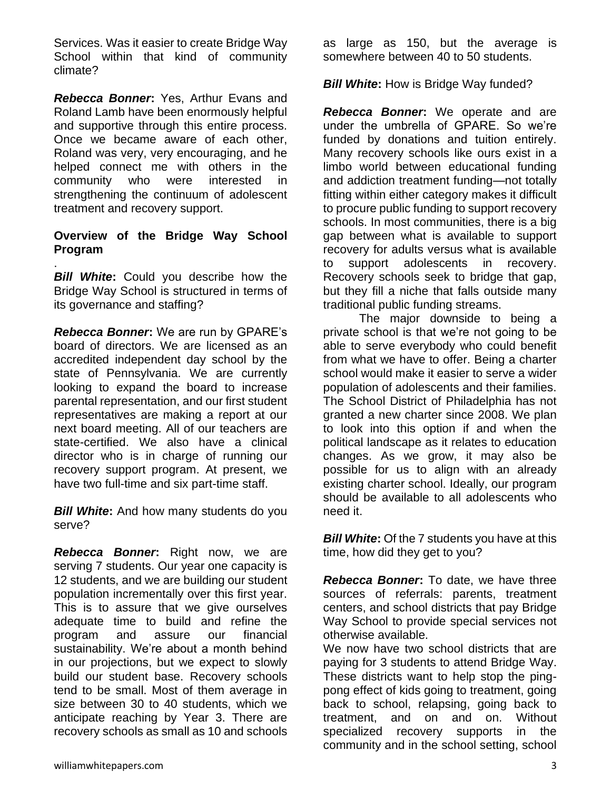Services. Was it easier to create Bridge Way School within that kind of community climate?

*Rebecca Bonner***:** Yes, Arthur Evans and Roland Lamb have been enormously helpful and supportive through this entire process. Once we became aware of each other, Roland was very, very encouraging, and he helped connect me with others in the community who were interested in strengthening the continuum of adolescent treatment and recovery support.

#### **Overview of the Bridge Way School Program**

.

**Bill White:** Could you describe how the Bridge Way School is structured in terms of its governance and staffing?

*Rebecca Bonner***:** We are run by GPARE's board of directors. We are licensed as an accredited independent day school by the state of Pennsylvania. We are currently looking to expand the board to increase parental representation, and our first student representatives are making a report at our next board meeting. All of our teachers are state-certified. We also have a clinical director who is in charge of running our recovery support program. At present, we have two full-time and six part-time staff.

*Bill White***:** And how many students do you serve?

*Rebecca Bonner***:** Right now, we are serving 7 students. Our year one capacity is 12 students, and we are building our student population incrementally over this first year. This is to assure that we give ourselves adequate time to build and refine the program and assure our financial sustainability. We're about a month behind in our projections, but we expect to slowly build our student base. Recovery schools tend to be small. Most of them average in size between 30 to 40 students, which we anticipate reaching by Year 3. There are recovery schools as small as 10 and schools

as large as 150, but the average is somewhere between 40 to 50 students.

**Bill White:** How is Bridge Way funded?

*Rebecca Bonner***:** We operate and are under the umbrella of GPARE. So we're funded by donations and tuition entirely. Many recovery schools like ours exist in a limbo world between educational funding and addiction treatment funding—not totally fitting within either category makes it difficult to procure public funding to support recovery schools. In most communities, there is a big gap between what is available to support recovery for adults versus what is available to support adolescents in recovery. Recovery schools seek to bridge that gap, but they fill a niche that falls outside many traditional public funding streams.

The major downside to being a private school is that we're not going to be able to serve everybody who could benefit from what we have to offer. Being a charter school would make it easier to serve a wider population of adolescents and their families. The School District of Philadelphia has not granted a new charter since 2008. We plan to look into this option if and when the political landscape as it relates to education changes. As we grow, it may also be possible for us to align with an already existing charter school. Ideally, our program should be available to all adolescents who need it.

*Bill White***:** Of the 7 students you have at this time, how did they get to you?

*Rebecca Bonner***:** To date, we have three sources of referrals: parents, treatment centers, and school districts that pay Bridge Way School to provide special services not otherwise available.

We now have two school districts that are paying for 3 students to attend Bridge Way. These districts want to help stop the pingpong effect of kids going to treatment, going back to school, relapsing, going back to treatment, and on and on. Without specialized recovery supports in the community and in the school setting, school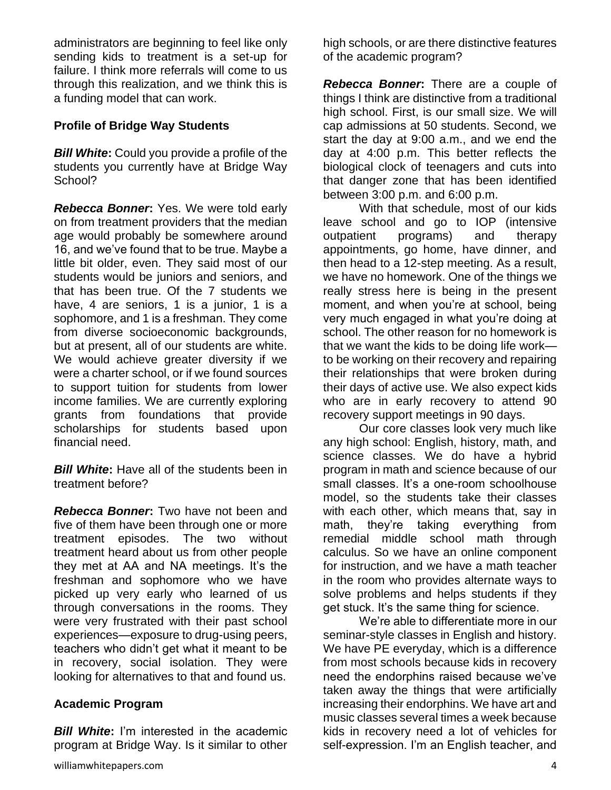administrators are beginning to feel like only sending kids to treatment is a set-up for failure. I think more referrals will come to us through this realization, and we think this is a funding model that can work.

#### **Profile of Bridge Way Students**

*Bill White***:** Could you provide a profile of the students you currently have at Bridge Way School?

*Rebecca Bonner***:** Yes. We were told early on from treatment providers that the median age would probably be somewhere around 16, and we've found that to be true. Maybe a little bit older, even. They said most of our students would be juniors and seniors, and that has been true. Of the 7 students we have, 4 are seniors, 1 is a junior, 1 is a sophomore, and 1 is a freshman. They come from diverse socioeconomic backgrounds, but at present, all of our students are white. We would achieve greater diversity if we were a charter school, or if we found sources to support tuition for students from lower income families. We are currently exploring grants from foundations that provide scholarships for students based upon financial need.

*Bill White***:** Have all of the students been in treatment before?

*Rebecca Bonner***:** Two have not been and five of them have been through one or more treatment episodes. The two without treatment heard about us from other people they met at AA and NA meetings. It's the freshman and sophomore who we have picked up very early who learned of us through conversations in the rooms. They were very frustrated with their past school experiences—exposure to drug-using peers, teachers who didn't get what it meant to be in recovery, social isolation. They were looking for alternatives to that and found us.

#### **Academic Program**

*Bill White***:** I'm interested in the academic program at Bridge Way. Is it similar to other high schools, or are there distinctive features of the academic program?

*Rebecca Bonner***:** There are a couple of things I think are distinctive from a traditional high school. First, is our small size. We will cap admissions at 50 students. Second, we start the day at 9:00 a.m., and we end the day at 4:00 p.m. This better reflects the biological clock of teenagers and cuts into that danger zone that has been identified between 3:00 p.m. and 6:00 p.m.

With that schedule, most of our kids leave school and go to IOP (intensive outpatient programs) and therapy appointments, go home, have dinner, and then head to a 12-step meeting. As a result, we have no homework. One of the things we really stress here is being in the present moment, and when you're at school, being very much engaged in what you're doing at school. The other reason for no homework is that we want the kids to be doing life work to be working on their recovery and repairing their relationships that were broken during their days of active use. We also expect kids who are in early recovery to attend 90 recovery support meetings in 90 days.

Our core classes look very much like any high school: English, history, math, and science classes. We do have a hybrid program in math and science because of our small classes. It's a one-room schoolhouse model, so the students take their classes with each other, which means that, say in math, they're taking everything from remedial middle school math through calculus. So we have an online component for instruction, and we have a math teacher in the room who provides alternate ways to solve problems and helps students if they get stuck. It's the same thing for science.

We're able to differentiate more in our seminar-style classes in English and history. We have PE everyday, which is a difference from most schools because kids in recovery need the endorphins raised because we've taken away the things that were artificially increasing their endorphins. We have art and music classes several times a week because kids in recovery need a lot of vehicles for self-expression. I'm an English teacher, and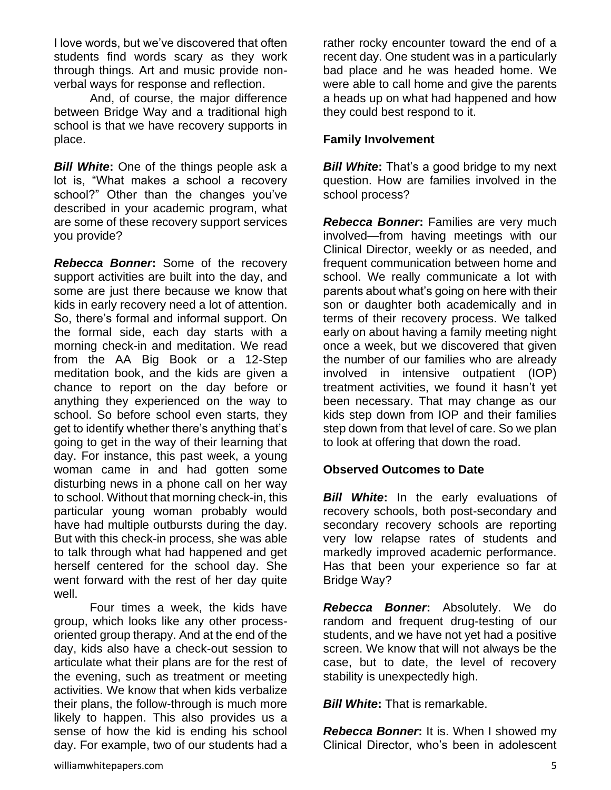I love words, but we've discovered that often students find words scary as they work through things. Art and music provide nonverbal ways for response and reflection.

And, of course, the major difference between Bridge Way and a traditional high school is that we have recovery supports in place.

*Bill White***:** One of the things people ask a lot is, "What makes a school a recovery school?" Other than the changes you've described in your academic program, what are some of these recovery support services you provide?

*Rebecca Bonner***:** Some of the recovery support activities are built into the day, and some are just there because we know that kids in early recovery need a lot of attention. So, there's formal and informal support. On the formal side, each day starts with a morning check-in and meditation. We read from the AA Big Book or a 12-Step meditation book, and the kids are given a chance to report on the day before or anything they experienced on the way to school. So before school even starts, they get to identify whether there's anything that's going to get in the way of their learning that day. For instance, this past week, a young woman came in and had gotten some disturbing news in a phone call on her way to school. Without that morning check-in, this particular young woman probably would have had multiple outbursts during the day. But with this check-in process, she was able to talk through what had happened and get herself centered for the school day. She went forward with the rest of her day quite well.

Four times a week, the kids have group, which looks like any other processoriented group therapy. And at the end of the day, kids also have a check-out session to articulate what their plans are for the rest of the evening, such as treatment or meeting activities. We know that when kids verbalize their plans, the follow-through is much more likely to happen. This also provides us a sense of how the kid is ending his school day. For example, two of our students had a

rather rocky encounter toward the end of a recent day. One student was in a particularly bad place and he was headed home. We were able to call home and give the parents a heads up on what had happened and how they could best respond to it.

#### **Family Involvement**

*Bill White:* That's a good bridge to my next question. How are families involved in the school process?

**Rebecca Bonner:** Families are very much involved—from having meetings with our Clinical Director, weekly or as needed, and frequent communication between home and school. We really communicate a lot with parents about what's going on here with their son or daughter both academically and in terms of their recovery process. We talked early on about having a family meeting night once a week, but we discovered that given the number of our families who are already involved in intensive outpatient (IOP) treatment activities, we found it hasn't yet been necessary. That may change as our kids step down from IOP and their families step down from that level of care. So we plan to look at offering that down the road.

#### **Observed Outcomes to Date**

**Bill White:** In the early evaluations of recovery schools, both post-secondary and secondary recovery schools are reporting very low relapse rates of students and markedly improved academic performance. Has that been your experience so far at Bridge Way?

*Rebecca Bonner***:** Absolutely. We do random and frequent drug-testing of our students, and we have not yet had a positive screen. We know that will not always be the case, but to date, the level of recovery stability is unexpectedly high.

*Bill White***:** That is remarkable.

**Rebecca Bonner:** It is. When I showed my Clinical Director, who's been in adolescent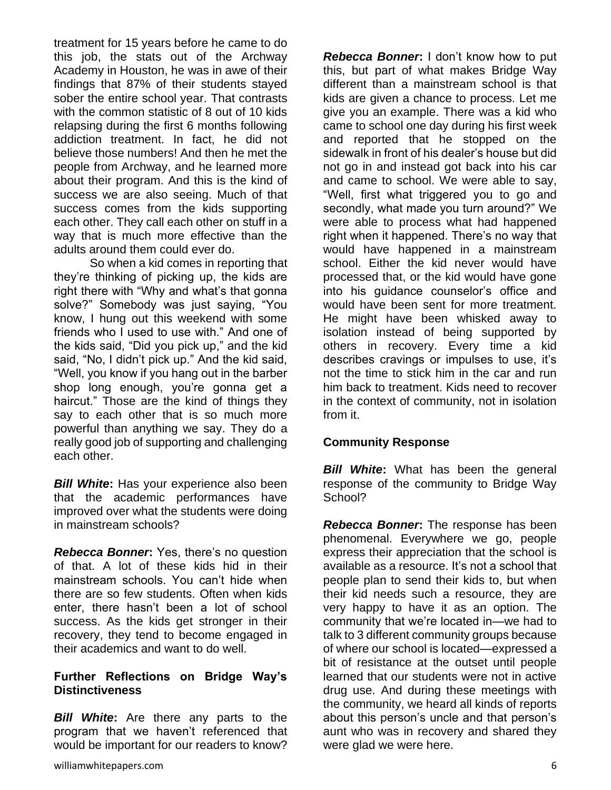treatment for 15 years before he came to do this job, the stats out of the Archway Academy in Houston, he was in awe of their findings that 87% of their students stayed sober the entire school year. That contrasts with the common statistic of 8 out of 10 kids relapsing during the first 6 months following addiction treatment. In fact, he did not believe those numbers! And then he met the people from Archway, and he learned more about their program. And this is the kind of success we are also seeing. Much of that success comes from the kids supporting each other. They call each other on stuff in a way that is much more effective than the adults around them could ever do.

So when a kid comes in reporting that they're thinking of picking up, the kids are right there with "Why and what's that gonna solve?" Somebody was just saying, "You know, I hung out this weekend with some friends who I used to use with." And one of the kids said, "Did you pick up," and the kid said, "No, I didn't pick up." And the kid said, "Well, you know if you hang out in the barber shop long enough, you're gonna get a haircut." Those are the kind of things they say to each other that is so much more powerful than anything we say. They do a really good job of supporting and challenging each other.

*Bill White***:** Has your experience also been that the academic performances have improved over what the students were doing in mainstream schools?

*Rebecca Bonner***:** Yes, there's no question of that. A lot of these kids hid in their mainstream schools. You can't hide when there are so few students. Often when kids enter, there hasn't been a lot of school success. As the kids get stronger in their recovery, they tend to become engaged in their academics and want to do well.

#### **Further Reflections on Bridge Way's Distinctiveness**

*Bill White***:** Are there any parts to the program that we haven't referenced that would be important for our readers to know?

*Rebecca Bonner***:** I don't know how to put this, but part of what makes Bridge Way different than a mainstream school is that kids are given a chance to process. Let me give you an example. There was a kid who came to school one day during his first week and reported that he stopped on the sidewalk in front of his dealer's house but did not go in and instead got back into his car and came to school. We were able to say, "Well, first what triggered you to go and secondly, what made you turn around?" We were able to process what had happened right when it happened. There's no way that would have happened in a mainstream school. Either the kid never would have processed that, or the kid would have gone into his guidance counselor's office and would have been sent for more treatment. He might have been whisked away to isolation instead of being supported by others in recovery. Every time a kid describes cravings or impulses to use, it's not the time to stick him in the car and run him back to treatment. Kids need to recover in the context of community, not in isolation from it.

#### **Community Response**

*Bill White***:** What has been the general response of the community to Bridge Way School?

*Rebecca Bonner***:** The response has been phenomenal. Everywhere we go, people express their appreciation that the school is available as a resource. It's not a school that people plan to send their kids to, but when their kid needs such a resource, they are very happy to have it as an option. The community that we're located in—we had to talk to 3 different community groups because of where our school is located—expressed a bit of resistance at the outset until people learned that our students were not in active drug use. And during these meetings with the community, we heard all kinds of reports about this person's uncle and that person's aunt who was in recovery and shared they were glad we were here.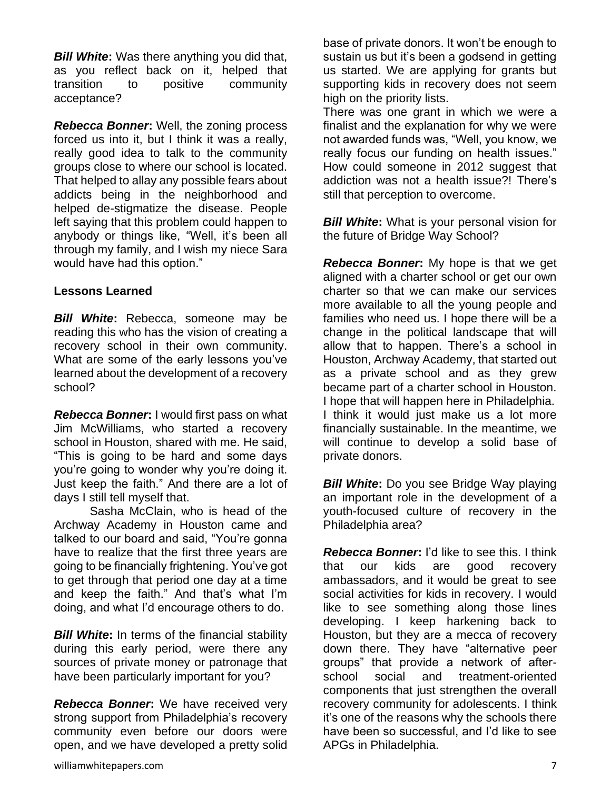*Bill White***:** Was there anything you did that, as you reflect back on it, helped that transition to positive community acceptance?

*Rebecca Bonner***:** Well, the zoning process forced us into it, but I think it was a really, really good idea to talk to the community groups close to where our school is located. That helped to allay any possible fears about addicts being in the neighborhood and helped de-stigmatize the disease. People left saying that this problem could happen to anybody or things like, "Well, it's been all through my family, and I wish my niece Sara would have had this option."

#### **Lessons Learned**

*Bill White***:** Rebecca, someone may be reading this who has the vision of creating a recovery school in their own community. What are some of the early lessons you've learned about the development of a recovery school?

*Rebecca Bonner***:** I would first pass on what Jim McWilliams, who started a recovery school in Houston, shared with me. He said, "This is going to be hard and some days you're going to wonder why you're doing it. Just keep the faith." And there are a lot of days I still tell myself that.

Sasha McClain, who is head of the Archway Academy in Houston came and talked to our board and said, "You're gonna have to realize that the first three years are going to be financially frightening. You've got to get through that period one day at a time and keep the faith." And that's what I'm doing, and what I'd encourage others to do.

*Bill White***:** In terms of the financial stability during this early period, were there any sources of private money or patronage that have been particularly important for you?

*Rebecca Bonner***:** We have received very strong support from Philadelphia's recovery community even before our doors were open, and we have developed a pretty solid

There was one grant in which we were a finalist and the explanation for why we were not awarded funds was, "Well, you know, we really focus our funding on health issues." How could someone in 2012 suggest that addiction was not a health issue?! There's still that perception to overcome.

**Bill White:** What is your personal vision for the future of Bridge Way School?

*Rebecca Bonner***:** My hope is that we get aligned with a charter school or get our own charter so that we can make our services more available to all the young people and families who need us. I hope there will be a change in the political landscape that will allow that to happen. There's a school in Houston, Archway Academy, that started out as a private school and as they grew became part of a charter school in Houston. I hope that will happen here in Philadelphia. I think it would just make us a lot more financially sustainable. In the meantime, we will continue to develop a solid base of private donors.

*Bill White*: Do you see Bridge Way playing an important role in the development of a youth-focused culture of recovery in the Philadelphia area?

*Rebecca Bonner***:** I'd like to see this. I think that our kids are good recovery ambassadors, and it would be great to see social activities for kids in recovery. I would like to see something along those lines developing. I keep harkening back to Houston, but they are a mecca of recovery down there. They have "alternative peer groups" that provide a network of afterschool social and treatment-oriented components that just strengthen the overall recovery community for adolescents. I think it's one of the reasons why the schools there have been so successful, and I'd like to see APGs in Philadelphia.